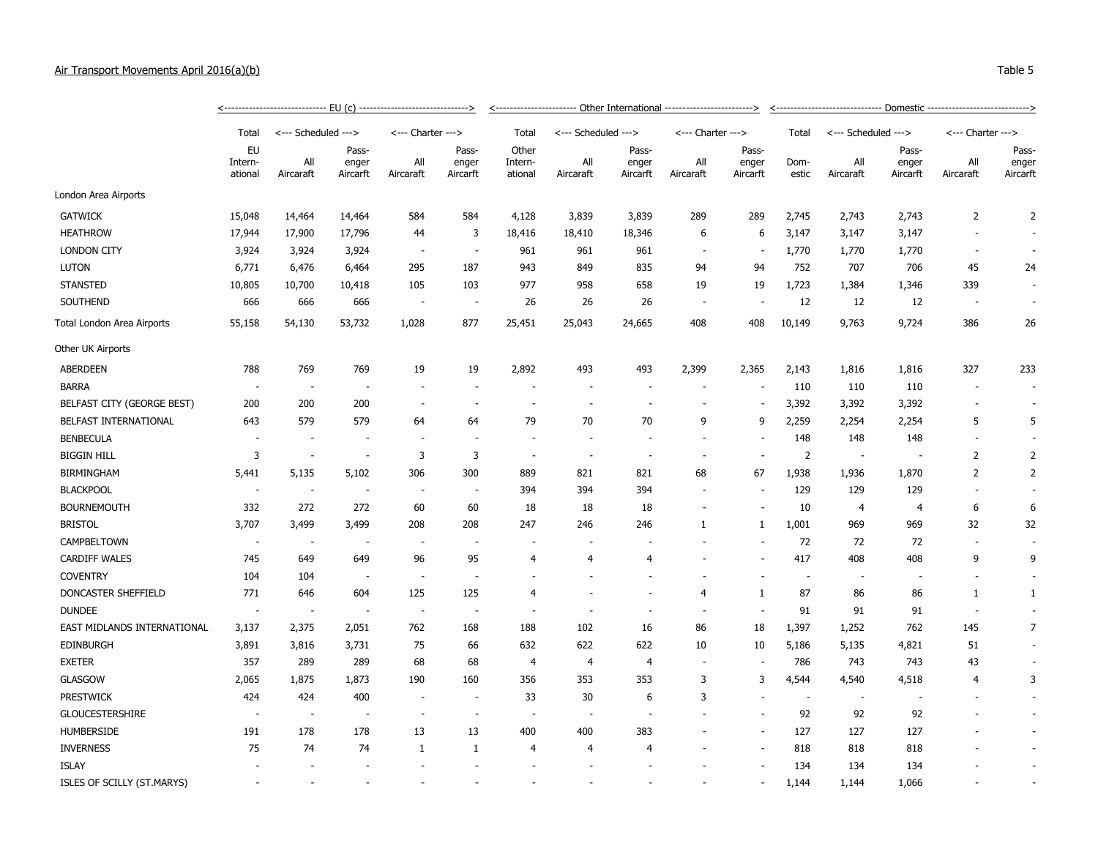## Air Transport Movements April 2016(a)(b) Table 5

|                             | <------------------------------    EU (c)    -----------------------------> |                          |                          |                          |                          |                             |                     |                          |                          |                |                          |                          |                |                          |                            |  |
|-----------------------------|-----------------------------------------------------------------------------|--------------------------|--------------------------|--------------------------|--------------------------|-----------------------------|---------------------|--------------------------|--------------------------|----------------|--------------------------|--------------------------|----------------|--------------------------|----------------------------|--|
|                             | Total                                                                       |                          | <--- Scheduled --->      |                          | <--- Charter --->        |                             | <--- Scheduled ---> |                          | <--- Charter --->        |                | Total                    | <--- Scheduled --->      |                | <--- Charter --->        |                            |  |
|                             | EU<br>Intern-<br>ational                                                    | All<br>Aircaraft         | Pass-<br>enger           | All                      | Pass-<br>enger           | Other<br>Intern-<br>ational | All<br>Aircaraft    | Pass-<br>enger           | All                      | Pass-<br>enger | Dom-                     | All                      | Pass-<br>enger | All<br>Aircaraft         | Pass-<br>enger<br>Aircarft |  |
|                             |                                                                             |                          | Aircarft                 | Aircaraft                | Aircarft                 |                             |                     | Aircarft                 | Aircaraft                | Aircarft       | estic                    | Aircaraft                | Aircarft       |                          |                            |  |
| London Area Airports        |                                                                             |                          |                          |                          |                          |                             |                     |                          |                          |                |                          |                          |                |                          |                            |  |
| <b>GATWICK</b>              | 15,048                                                                      | 14,464                   | 14,464                   | 584                      | 584                      | 4,128                       | 3,839               | 3,839                    | 289                      | 289            | 2,745                    | 2,743                    | 2,743          | $\overline{2}$           | $\overline{2}$             |  |
| <b>HEATHROW</b>             | 17,944                                                                      | 17,900                   | 17,796                   | 44                       | 3                        | 18,416                      | 18,410              | 18,346                   | 6                        | 6              | 3,147                    | 3,147                    | 3,147          |                          |                            |  |
| <b>LONDON CITY</b>          | 3,924                                                                       | 3,924                    | 3,924                    | $\overline{\phantom{a}}$ | $\overline{\phantom{a}}$ | 961                         | 961                 | 961                      | ٠.                       |                | 1,770                    | 1,770                    | 1,770          | $\sim$                   |                            |  |
| <b>LUTON</b>                | 6,771                                                                       | 6,476                    | 6,464                    | 295                      | 187                      | 943                         | 849                 | 835                      | 94                       | 94             | 752                      | 707                      | 706            | 45                       | 24                         |  |
| <b>STANSTED</b>             | 10,805                                                                      | 10,700                   | 10,418                   | 105                      | 103                      | 977                         | 958                 | 658                      | 19                       | 19             | 1,723                    | 1,384                    | 1,346          | 339                      | $\overline{\phantom{a}}$   |  |
| SOUTHEND                    | 666                                                                         | 666                      | 666                      | $\overline{\phantom{a}}$ | $\overline{\phantom{a}}$ | 26                          | 26                  | 26                       | $\overline{\phantom{a}}$ |                | 12                       | 12                       | 12             | ÷,                       | $\overline{\phantom{a}}$   |  |
| Total London Area Airports  | 55,158                                                                      | 54,130                   | 53,732                   | 1,028                    | 877                      | 25,451                      | 25,043              | 24,665                   | 408                      | 408            | 10,149                   | 9,763                    | 9,724          | 386                      | 26                         |  |
| Other UK Airports           |                                                                             |                          |                          |                          |                          |                             |                     |                          |                          |                |                          |                          |                |                          |                            |  |
| <b>ABERDEEN</b>             | 788                                                                         | 769                      | 769                      | 19                       | 19                       | 2,892                       | 493                 | 493                      | 2,399                    | 2,365          | 2,143                    | 1,816                    | 1,816          | 327                      | 233                        |  |
| <b>BARRA</b>                | $\sim$                                                                      | $\sim$                   | $\overline{\phantom{a}}$ |                          | $\sim$                   | $\overline{\phantom{a}}$    |                     | $\overline{\phantom{a}}$ |                          |                | 110                      | 110                      | 110            | ÷,                       |                            |  |
| BELFAST CITY (GEORGE BEST)  | 200                                                                         | 200                      | 200                      | $\overline{\phantom{a}}$ | ÷.                       | ÷.                          |                     | $\sim$                   | ä,                       |                | 3,392                    | 3,392                    | 3,392          | $\sim$                   |                            |  |
| BELFAST INTERNATIONAL       | 643                                                                         | 579                      | 579                      | 64                       | 64                       | 79                          | 70                  | 70                       | 9                        | 9              | 2,259                    | 2,254                    | 2,254          | 5                        | 5                          |  |
| <b>BENBECULA</b>            | ä,                                                                          | $\overline{\phantom{a}}$ |                          |                          | $\sim$                   | $\overline{\phantom{a}}$    |                     | $\overline{\phantom{a}}$ | ÷,                       |                | 148                      | 148                      | 148            | $\sim$                   |                            |  |
| <b>BIGGIN HILL</b>          | 3                                                                           | $\overline{\phantom{a}}$ |                          | 3                        | 3                        | $\overline{\phantom{a}}$    |                     | $\overline{a}$           | ÷                        |                | 2                        | $\overline{\phantom{a}}$ |                | $\overline{2}$           | 2                          |  |
| <b>BIRMINGHAM</b>           | 5,441                                                                       | 5,135                    | 5,102                    | 306                      | 300                      | 889                         | 821                 | 821                      | 68                       | 67             | 1,938                    | 1,936                    | 1,870          | $\overline{2}$           | $\overline{2}$             |  |
| <b>BLACKPOOL</b>            | $\overline{\phantom{a}}$                                                    | $\overline{\phantom{a}}$ | $\overline{\phantom{a}}$ | $\overline{\phantom{a}}$ | $\overline{\phantom{a}}$ | 394                         | 394                 | 394                      | $\overline{\phantom{a}}$ | ÷,             | 129                      | 129                      | 129            | $\sim$                   |                            |  |
| <b>BOURNEMOUTH</b>          | 332                                                                         | 272                      | 272                      | 60                       | 60                       | 18                          | 18                  | 18                       | ä,                       |                | 10                       | $\overline{4}$           | $\overline{4}$ | 6                        | 6                          |  |
| <b>BRISTOL</b>              | 3,707                                                                       | 3,499                    | 3,499                    | 208                      | 208                      | 247                         | 246                 | 246                      | 1                        | 1              | 1,001                    | 969                      | 969            | 32                       | 32                         |  |
| CAMPBELTOWN                 | $\overline{\phantom{a}}$                                                    | $\overline{\phantom{a}}$ |                          |                          | $\overline{\phantom{a}}$ | ÷                           |                     |                          |                          |                | 72                       | 72                       | 72             | $\overline{\phantom{a}}$ |                            |  |
| <b>CARDIFF WALES</b>        | 745                                                                         | 649                      | 649                      | 96                       | 95                       | $\overline{4}$              | $\overline{4}$      | $\overline{4}$           |                          |                | 417                      | 408                      | 408            | 9                        | 9                          |  |
| <b>COVENTRY</b>             | 104                                                                         | 104                      | $\sim$                   | $\overline{\phantom{a}}$ | $\sim$                   | ÷,                          |                     |                          |                          |                | $\sim$                   | $\overline{\phantom{a}}$ |                | ÷,                       |                            |  |
| DONCASTER SHEFFIELD         | 771                                                                         | 646                      | 604                      | 125                      | 125                      | $\overline{4}$              |                     | $\overline{\phantom{a}}$ | $\overline{4}$           | 1              | 87                       | 86                       | 86             | $\mathbf{1}$             | $\mathbf{1}$               |  |
| <b>DUNDEE</b>               | $\sim$                                                                      | $\sim$                   | $\overline{\phantom{a}}$ | $\sim$                   | $\overline{\phantom{a}}$ | $\overline{\phantom{a}}$    |                     | $\overline{\phantom{a}}$ | ÷.                       | $\sim$         | 91                       | 91                       | 91             | $\sim$                   |                            |  |
| EAST MIDLANDS INTERNATIONAL | 3,137                                                                       | 2,375                    | 2,051                    | 762                      | 168                      | 188                         | 102                 | 16                       | 86                       | 18             | 1,397                    | 1,252                    | 762            | 145                      | $\overline{7}$             |  |
| <b>EDINBURGH</b>            | 3,891                                                                       | 3,816                    | 3,731                    | 75                       | 66                       | 632                         | 622                 | 622                      | 10                       | 10             | 5,186                    | 5,135                    | 4,821          | 51                       |                            |  |
| <b>EXETER</b>               | 357                                                                         | 289                      | 289                      | 68                       | 68                       | $\overline{4}$              | $\overline{4}$      | $\overline{4}$           | $\sim$                   |                | 786                      | 743                      | 743            | 43                       |                            |  |
| GLASGOW                     | 2,065                                                                       | 1,875                    | 1,873                    | 190                      | 160                      | 356                         | 353                 | 353                      | 3                        | 3              | 4,544                    | 4,540                    | 4,518          | 4                        | 3                          |  |
| <b>PRESTWICK</b>            | 424                                                                         | 424                      | 400                      |                          | $\overline{\phantom{a}}$ | 33                          | 30                  | 6                        | 3                        | ÷,             | $\overline{\phantom{a}}$ | $\overline{\phantom{a}}$ |                |                          |                            |  |
| <b>GLOUCESTERSHIRE</b>      | $\overline{\phantom{a}}$                                                    | $\overline{\phantom{a}}$ |                          |                          |                          | $\overline{\phantom{a}}$    |                     |                          |                          |                | 92                       | 92                       | 92             |                          |                            |  |
| <b>HUMBERSIDE</b>           | 191                                                                         | 178                      | 178                      | 13                       | 13                       | 400                         | 400                 | 383                      |                          |                | 127                      | 127                      | 127            |                          |                            |  |
| <b>INVERNESS</b>            | 75                                                                          | 74                       | 74                       | $\mathbf{1}$             | 1                        | $\overline{4}$              | 4                   | 4                        |                          |                | 818                      | 818                      | 818            |                          |                            |  |
| <b>ISLAY</b>                | ÷,                                                                          | $\overline{\phantom{a}}$ |                          |                          | $\overline{\phantom{a}}$ | $\sim$                      |                     |                          |                          |                | 134                      | 134                      | 134            |                          |                            |  |

ISLES OF SCILLY (ST.MARYS) - - - - - - - - - - 1,144 1,144 1,066 - -